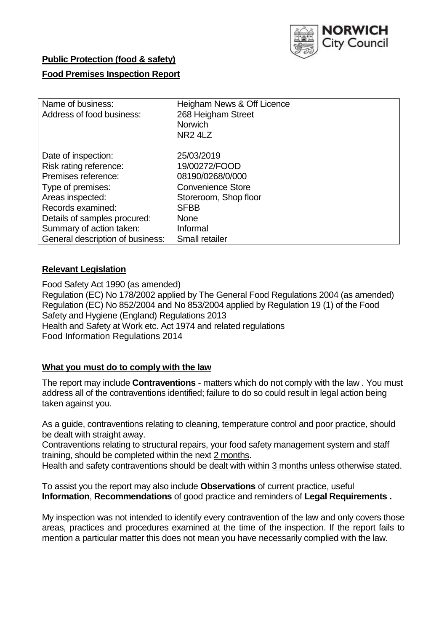

# **Public Protection (food & safety)**

# **Food Premises Inspection Report**

| Name of business:<br>Address of food business: | Heigham News & Off Licence<br>268 Heigham Street<br><b>Norwich</b><br>NR <sub>2</sub> 4L <sub>Z</sub> |  |  |  |
|------------------------------------------------|-------------------------------------------------------------------------------------------------------|--|--|--|
| Date of inspection:                            | 25/03/2019                                                                                            |  |  |  |
| Risk rating reference:                         | 19/00272/FOOD                                                                                         |  |  |  |
| Premises reference:                            | 08190/0268/0/000                                                                                      |  |  |  |
| Type of premises:                              | <b>Convenience Store</b>                                                                              |  |  |  |
| Areas inspected:                               | Storeroom, Shop floor                                                                                 |  |  |  |
| Records examined:                              | <b>SFBB</b>                                                                                           |  |  |  |
| Details of samples procured:                   | <b>None</b>                                                                                           |  |  |  |
| Summary of action taken:                       | Informal                                                                                              |  |  |  |
| General description of business:               | <b>Small retailer</b>                                                                                 |  |  |  |

## **Relevant Legislation**

Food Safety Act 1990 (as amended) Regulation (EC) No 178/2002 applied by The General Food Regulations 2004 (as amended) Regulation (EC) No 852/2004 and No 853/2004 applied by Regulation 19 (1) of the Food Safety and Hygiene (England) Regulations 2013 Health and Safety at Work etc. Act 1974 and related regulations Food Information Regulations 2014

# **What you must do to comply with the law**

The report may include **Contraventions** - matters which do not comply with the law . You must address all of the contraventions identified; failure to do so could result in legal action being taken against you.

As a guide, contraventions relating to cleaning, temperature control and poor practice, should be dealt with straight away.

Contraventions relating to structural repairs, your food safety management system and staff training, should be completed within the next 2 months.

Health and safety contraventions should be dealt with within 3 months unless otherwise stated.

To assist you the report may also include **Observations** of current practice, useful **Information**, **Recommendations** of good practice and reminders of **Legal Requirements .**

My inspection was not intended to identify every contravention of the law and only covers those areas, practices and procedures examined at the time of the inspection. If the report fails to mention a particular matter this does not mean you have necessarily complied with the law.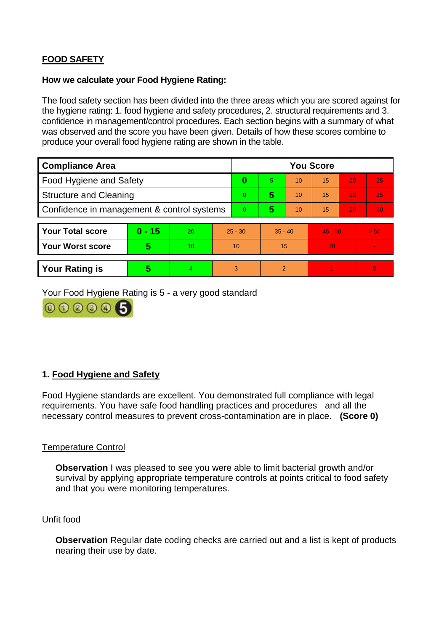# **FOOD SAFETY**

### **How we calculate your Food Hygiene Rating:**

The food safety section has been divided into the three areas which you are scored against for the hygiene rating: 1. food hygiene and safety procedures, 2. structural requirements and 3. confidence in management/control procedures. Each section begins with a summary of what was observed and the score you have been given. Details of how these scores combine to produce your overall food hygiene rating are shown in the table.

| <b>Compliance Area</b>                     |          |                  |           | <b>You Score</b> |                          |    |           |    |                |  |  |
|--------------------------------------------|----------|------------------|-----------|------------------|--------------------------|----|-----------|----|----------------|--|--|
| Food Hygiene and Safety                    |          |                  |           | $\bf{0}$         | 5                        | 10 | 15        | 20 | 25             |  |  |
| <b>Structure and Cleaning</b>              |          |                  | $\Omega$  | 5                | 10                       | 15 | 20        | 25 |                |  |  |
| Confidence in management & control systems |          |                  | $\Omega$  | 5                | 10                       | 15 | 20        | 30 |                |  |  |
|                                            |          |                  |           |                  |                          |    |           |    |                |  |  |
| <b>Your Total score</b>                    | $0 - 15$ | <b>20</b>        | $25 - 30$ |                  | $35 - 40$                |    | $45 - 50$ |    | > 50           |  |  |
| <b>Your Worst score</b>                    | 5        | 10 <sup>10</sup> | 10        |                  | 15                       |    | 20        |    |                |  |  |
|                                            |          |                  |           |                  |                          |    |           |    |                |  |  |
| <b>Your Rating is</b>                      | 5        | 4                |           | 3                | $\overline{\mathcal{P}}$ |    |           |    | $\overline{0}$ |  |  |

Your Food Hygiene Rating is 5 - a very good standard



# **1. Food Hygiene and Safety**

Food Hygiene standards are excellent. You demonstrated full compliance with legal requirements. You have safe food handling practices and procedures and all the necessary control measures to prevent cross-contamination are in place. **(Score 0)**

## Temperature Control

**Observation** I was pleased to see you were able to limit bacterial growth and/or survival by applying appropriate temperature controls at points critical to food safety and that you were monitoring temperatures.

#### Unfit food

**Observation** Regular date coding checks are carried out and a list is kept of products nearing their use by date.